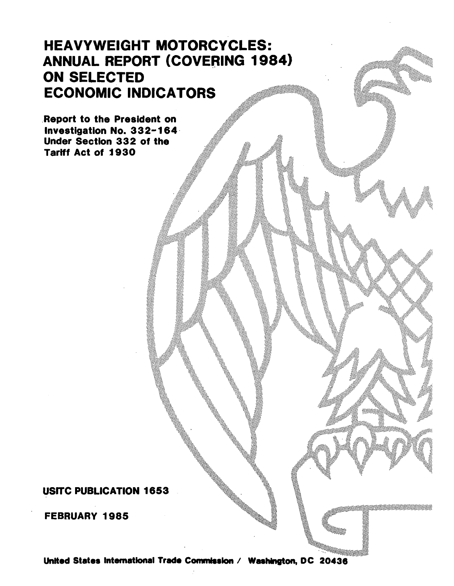# **HEAVYWEIGHT MOTORCYCLES: ANNUAL REPORT (COVERING 1984)** ON SELECTED **ECONOMIC INDICATORS**

**Report to the President on** Investigation No. 332-164 Under Section 332 of the **Tariff Act of 1930** 

USITC PUBLICATION 1653

FEBRUARY 1985

United States International Trade Commission / Washington, DC 20436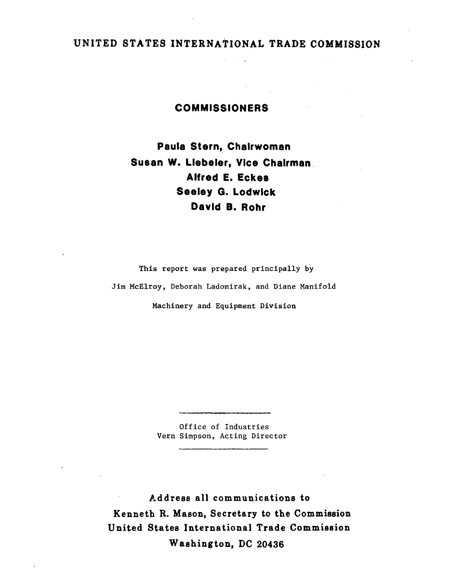## UNITED STATES INTERNATIONAL TRADE COMMISSION

 $\mathcal{L}^{\text{max}}$  ,  $\mathcal{L}^{\text{max}}$ 

### COMMISSIONERS

Paula Stern, Chairwoman Susan W. Llebeler, Vice Chairman. Alfred E. Eckes Seeley G. Lodwick David B. Rohr

This report was prepared principally by Jim McElroy, Deborah Ladomirak, and Diane Manifold Machinery and Equipment Division

> Office of Industries Vern Simpson, Acting Director

Address all communications to Kenneth R. Mason, Secretary to the Commission United States International Trade Commission Washington, DC 20436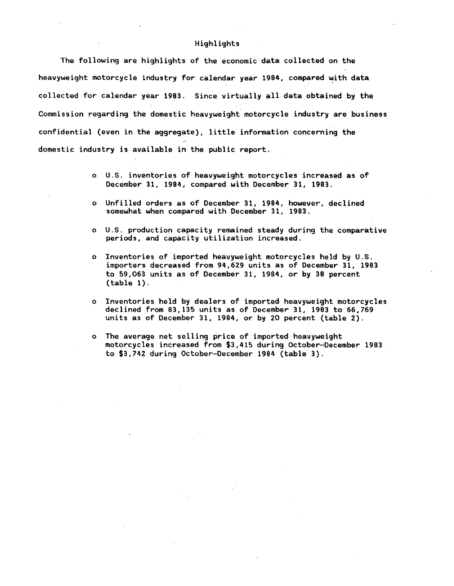#### **Highlights**

The following are highlights of the economic data collected on the heavyweight motorcycle industry for calendar year 1984, compared with data collected for calendar year 1983. Since virtually all data obtained by the Commission regarding the domestic heavyweight motorcycle industry are business confidential (even in the aggregate), little information concerning the domestic industry is available in the public report.

- o U.S. inventories of heavyweight motorcycles increased as of December 31, 1984, compared with December 31, 1983.
- o Unfilled orders as of December 31, 1984, however, declined somewhat when compared with December 31, 1983.
- o U.S. production capacity remained steady during the comparative periods, and capacity utilization increased.
- o Inventories of imported heavyweight motorcycles held by U.S. importers decreased from 94,629 units as of December 31, 1983 to 59,063 units as of December 31, 1984, or by 38 percent (table 1).
- o Inventories held by dealers of imported heavyweight motorcycles declined from 83,135 units as of December 31, 1983 to 66,769 units as of December 31, 1984, or by 20 percent (table 2).
- o The average net selling price of imported heavyweight motorcycles increased from \$3,415 during October-December 1983 to \$3,742 during October-December 1984 (table 3).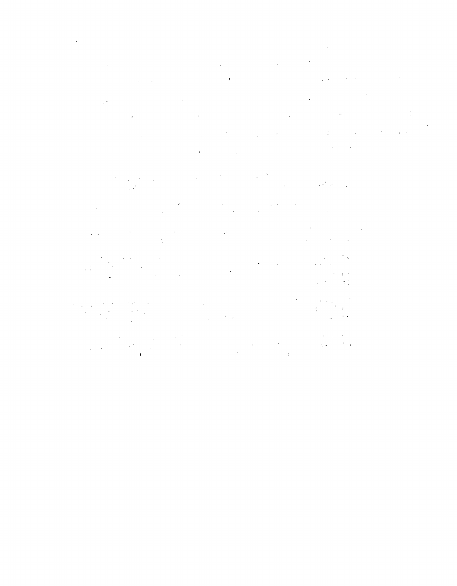$\mathcal{L}^{\mathcal{L}}(\mathcal{L}^{\mathcal{L}})$  and  $\mathcal{L}^{\mathcal{L}}(\mathcal{L}^{\mathcal{L}})$  and  $\mathcal{L}^{\mathcal{L}}(\mathcal{L}^{\mathcal{L}})$  $\label{eq:2.1} \frac{1}{\sqrt{2}}\int_{\mathbb{R}^3}\frac{1}{\sqrt{2}}\left(\frac{1}{\sqrt{2}}\right)^2\frac{1}{\sqrt{2}}\left(\frac{1}{\sqrt{2}}\right)^2\frac{1}{\sqrt{2}}\left(\frac{1}{\sqrt{2}}\right)^2\frac{1}{\sqrt{2}}\left(\frac{1}{\sqrt{2}}\right)^2.$ 

 $\label{eq:2.1} \mathcal{L}(\mathbf{Z}) = \mathcal{L}(\mathbf{Z}) = \mathcal{L}(\mathbf{Z}) = \mathcal{L}(\mathbf{Z}) = \mathcal{L}(\mathbf{Z}) = \mathcal{L}(\mathbf{Z}) = \mathcal{L}(\mathbf{Z}) = \mathcal{L}(\mathbf{Z}) = \mathcal{L}(\mathbf{Z}) = \mathcal{L}(\mathbf{Z}) = \mathcal{L}(\mathbf{Z}) = \mathcal{L}(\mathbf{Z}) = \mathcal{L}(\mathbf{Z}) = \mathcal{L}(\mathbf{Z}) = \mathcal{L}(\mathbf{Z}) = \mathcal{L}(\mathbf{Z}) = \mathcal$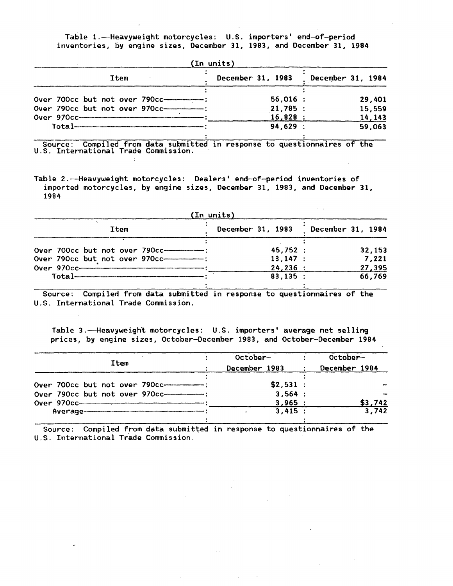Table 1.-Heavyweight motorcycles: U.S. importers' end-of-period inventories, by engine sizes, December 31, 1983, and December 31, 1984

| LII UILLUS                                                                  |                                 |                            |  |  |
|-----------------------------------------------------------------------------|---------------------------------|----------------------------|--|--|
| Item                                                                        | December 31, 1983               | December 31, 1984          |  |  |
| Over 700cc but not over 790cc-------<br>Over 790cc but not over 970cc------ | $56,016$ :<br>21,785:<br>16,828 | 29.401<br>15,559<br>14,143 |  |  |
| $Total$ $-$                                                                 | 94,629:                         | 59,063                     |  |  |

Source: Compiled from data submitted in response to questionnaires of the U.S. International Trade Commission.

Table 2.--Heavyweight motorcycles: Dealers' end-of-period inventories of imported motorcycles, by engine sizes, December 31, 1983, and December 31, 1984

| (In units)                           |                   |                   |  |  |
|--------------------------------------|-------------------|-------------------|--|--|
| Item                                 | December 31, 1983 | December 31, 1984 |  |  |
| Over 700cc but not over 790cc-       | 45.752:           | 32,153            |  |  |
| Over 790cc but not over 970cc------- | 13,147:           | 7.221             |  |  |
|                                      | 24,236:           | 27,395            |  |  |
| Total                                | 83.135:           | 66,769            |  |  |
|                                      |                   |                   |  |  |

Source: Compiled from data submitted in response to questionnaires of the U.S. International Trade Commission.

Table 3.--Heavyweight motorcycles: U.S. importers' average net selling prices, by engine sizes, October-December 1983, and October-December 1984

| Item                                                                    | October-           | $October-$       |
|-------------------------------------------------------------------------|--------------------|------------------|
|                                                                         | December 1983      | December 1984    |
| Over 700cc but not over 790cc-<br>Over 790cc but not over 970cc-------- | \$2,531:<br>3,564: |                  |
|                                                                         | 3,965<br>3,415     | \$3,742<br>3.742 |
|                                                                         |                    |                  |

Source: Compiled from data submitted in response to questionnaires of the U.S. International Trade Commission.

#### (In units)